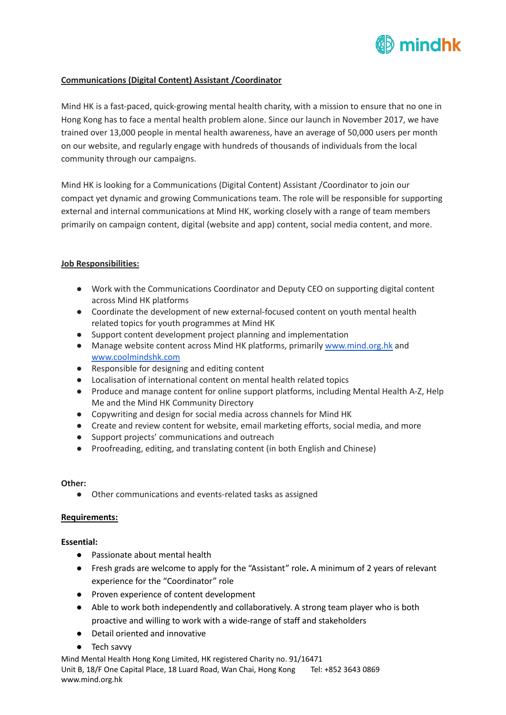

# **Communications (Digital Content) Assistant /Coordinator**

Mind HK is a fast-paced, quick-growing mental health charity, with a mission to ensure that no one in Hong Kong has to face a mental health problem alone. Since our launch in November 2017, we have trained over 13,000 people in mental health awareness, have an average of 50,000 users per month on our website, and regularly engage with hundreds of thousands of individuals from the local community through our campaigns.

Mind HK is looking for a Communications (Digital Content) Assistant /Coordinator to join our compact yet dynamic and growing Communications team. The role will be responsible for supporting external and internal communications at Mind HK, working closely with a range of team members primarily on campaign content, digital (website and app) content, social media content, and more.

### **Job Responsibilities:**

- Work with the Communications Coordinator and Deputy CEO on supporting digital content across Mind HK platforms
- Coordinate the development of new external-focused content on youth mental health related topics for youth programmes at Mind HK
- Support content development project planning and implementation
- Manage website content across Mind HK platforms, primarily [www.mind.org.hk](http://www.mind.org.hk) and [www.coolmindshk.com](http://www.coolmindshk.com)
- Responsible for designing and editing content
- Localisation of international content on mental health related topics
- Produce and manage content for online support platforms, including Mental Health A-Z, Help Me and the Mind HK Community Directory
- Copywriting and design for social media across channels for Mind HK
- Create and review content for website, email marketing efforts, social media, and more
- Support projects' communications and outreach
- Proofreading, editing, and translating content (in both English and Chinese)

#### **Other:**

● Other communications and events-related tasks as assigned

### **Requirements:**

### **Essential:**

- Passionate about mental health
- Fresh grads are welcome to apply for the "Assistant" role**.** A minimum of 2 years of relevant experience for the "Coordinator" role
- Proven experience of content development
- Able to work both independently and collaboratively. A strong team player who is both proactive and willing to work with a wide-range of staff and stakeholders
- Detail oriented and innovative
- Tech savvy

Mind Mental Health Hong Kong Limited, HK registered Charity no. 91/16471 Unit B, 18/F One Capital Place, 18 Luard Road, Wan Chai, Hong Kong Tel: +852 3643 0869 www.mind.org.hk